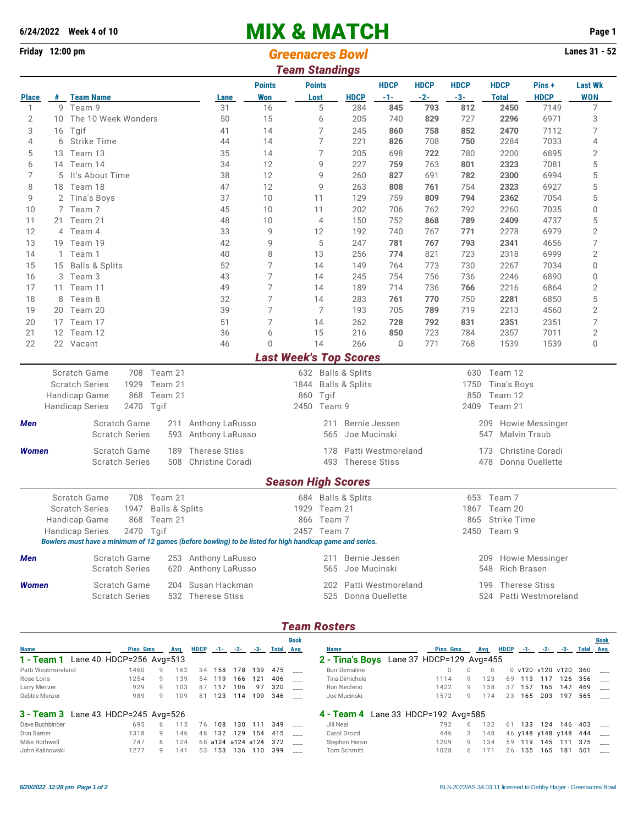## **6/24/2022** Week 4 of 10<br> **Finday 12:00 pm**<br> **Finday 12:00 pm**<br> **Greensores Rourd**

| Friday 12:00 pm |              |                                                                                                          |                           |                      |                |                       |                                             |                               | Lanes 31 - 52<br><b>Greenacres Bowl</b> |             |              |                                              |                        |                |  |  |  |  |  |  |  |  |
|-----------------|--------------|----------------------------------------------------------------------------------------------------------|---------------------------|----------------------|----------------|-----------------------|---------------------------------------------|-------------------------------|-----------------------------------------|-------------|--------------|----------------------------------------------|------------------------|----------------|--|--|--|--|--|--|--|--|
|                 |              |                                                                                                          |                           |                      |                | <b>Team Standings</b> |                                             |                               |                                         |             |              |                                              |                        |                |  |  |  |  |  |  |  |  |
|                 |              |                                                                                                          |                           |                      | <b>Points</b>  |                       | <b>Points</b>                               |                               | <b>HDCP</b>                             | <b>HDCP</b> | <b>HDCP</b>  | <b>HDCP</b>                                  | Pins +                 | <b>Last Wk</b> |  |  |  |  |  |  |  |  |
| <b>Place</b>    |              | # Team Name                                                                                              |                           | Lane<br>31           | <b>Won</b>     |                       | Lost                                        | <b>HDCP</b>                   | -1-                                     | $-2-$       | $-3-$        | <b>Total</b>                                 | <b>HDCP</b>            | <b>WON</b>     |  |  |  |  |  |  |  |  |
| 1               |              |                                                                                                          | 9 Team 9                  |                      | 16             |                       | 5                                           | 284                           | 845                                     | 793         | 812          | 2450                                         | 7149                   | 7              |  |  |  |  |  |  |  |  |
| 2               |              | 10 The 10 Week Wonders                                                                                   |                           | 50                   | 15             |                       | 6                                           | 205                           | 740                                     | 829         | 727          | 2296                                         | 6971                   | 3              |  |  |  |  |  |  |  |  |
| 3               | 16           | Tgif                                                                                                     |                           | 41                   | 14             |                       | 7<br>$\overline{7}$                         | 245                           | 860                                     | 758         | 852          | 2470                                         | 7112                   | 7              |  |  |  |  |  |  |  |  |
| 4               | 6            | <b>Strike Time</b>                                                                                       |                           | 44                   | 14             |                       |                                             | 221                           | 826                                     | 708         | 750          | 2284                                         | 7033                   | 4              |  |  |  |  |  |  |  |  |
| 5               | 13           | Team 13                                                                                                  |                           | 35                   | 14             |                       | $\overline{7}$                              | 205                           | 698                                     | 722         | 780          | 2200                                         | 6895                   | $\mathbf{2}$   |  |  |  |  |  |  |  |  |
| 6<br>7          |              | 14 Team 14                                                                                               |                           | 34                   | 12<br>12       |                       | 9<br>9                                      | 227                           | 759                                     | 763         | 801          | 2323<br>2300                                 | 7081                   | 5              |  |  |  |  |  |  |  |  |
|                 |              | 5<br>It's About Time                                                                                     |                           | 38<br>47             | 12             |                       |                                             | 260                           | 827<br>808                              | 691         | 782<br>754   |                                              | 6994<br>6927           | 5              |  |  |  |  |  |  |  |  |
| 8<br>9          |              | 18 Team 18                                                                                               |                           | 37                   | 10             |                       | 9<br>11                                     | 263<br>129                    | 759                                     | 761<br>809  | 794          | 2323<br>2362                                 | 7054                   | 5<br>5         |  |  |  |  |  |  |  |  |
|                 |              | 2 Tina's Boys                                                                                            |                           | 45                   |                |                       | 11                                          |                               |                                         |             |              |                                              | 7035                   |                |  |  |  |  |  |  |  |  |
| 10<br>11        |              | 7 Team 7<br>21 Team 21                                                                                   |                           | 48                   | 10<br>10       |                       | $\overline{4}$                              | 202<br>150                    | 706<br>752                              | 762<br>868  | 792<br>789   | 2260<br>2409                                 | 4737                   | 0<br>5         |  |  |  |  |  |  |  |  |
| 12              |              | 4 Team 4                                                                                                 |                           | 33                   | 9              |                       | 12                                          | 192                           | 740                                     | 767         | 771          | 2278                                         | 6979                   | $\overline{2}$ |  |  |  |  |  |  |  |  |
| 13              |              | 19 Team 19                                                                                               |                           |                      | 9              |                       | 5                                           | 247                           | 781                                     | 767         | 793          | 2341                                         |                        | 7              |  |  |  |  |  |  |  |  |
| 14              | $\mathbf{1}$ | Team 1                                                                                                   |                           |                      | 8              |                       | 13                                          | 256                           | 774                                     |             | 723          | 2318                                         | 4656<br>6999           | $\sqrt{2}$     |  |  |  |  |  |  |  |  |
| 15              | 15           |                                                                                                          |                           | 40<br>52             | 7              |                       | 14                                          | 149                           | 764                                     | 821<br>773  | 730          | 2267                                         | 7034                   | 0              |  |  |  |  |  |  |  |  |
| 16              |              | <b>Balls &amp; Splits</b><br>3 Team 3                                                                    |                           | 43                   | 7              |                       | 14                                          | 245                           | 754                                     | 756         | 736          | 2246                                         | 6890                   | 0              |  |  |  |  |  |  |  |  |
| 17              |              | 11 Team 11                                                                                               |                           | 49                   | 7              |                       | 14                                          | 189                           | 714                                     |             | 766          | 2216                                         | 6864                   | 2              |  |  |  |  |  |  |  |  |
| 18              | 8            | Team 8                                                                                                   |                           | 32                   | 7              |                       | 14                                          | 283                           | 761                                     | 736<br>770  | 750          | 2281                                         | 6850                   | 5              |  |  |  |  |  |  |  |  |
| 19              |              | 20 Team 20                                                                                               |                           | 39                   | 7              |                       | 7                                           | 193                           | 705                                     | 789         | 719          | 2213                                         | 4560                   | $\overline{2}$ |  |  |  |  |  |  |  |  |
| 20              |              | 17 Team 17                                                                                               |                           | 51                   | $\overline{7}$ |                       | 14                                          | 262                           | 728                                     | 792         | 831          | 2351                                         | 2351                   | 7              |  |  |  |  |  |  |  |  |
| 21              |              | 12 Team 12                                                                                               |                           | 36                   |                | 6<br>15               |                                             | 216                           | 850                                     | 723         | 784          | 2357                                         | 7011                   | $\overline{2}$ |  |  |  |  |  |  |  |  |
| 22              |              | 22 Vacant                                                                                                |                           | 46                   | $\Omega$       |                       | 14                                          | 266                           | $\Omega$                                | 771         | 768          | 1539                                         | 1539                   | 0              |  |  |  |  |  |  |  |  |
|                 |              |                                                                                                          |                           |                      |                |                       |                                             | <b>Last Week's Top Scores</b> |                                         |             |              |                                              |                        |                |  |  |  |  |  |  |  |  |
|                 |              | Scratch Game                                                                                             | 708 Team 21               |                      |                |                       |                                             | 632 Balls & Splits            |                                         |             | 630          | Team 12                                      |                        |                |  |  |  |  |  |  |  |  |
|                 |              | <b>Scratch Series</b><br>1929                                                                            | Team 21                   |                      |                |                       |                                             | <b>Balls &amp; Splits</b>     |                                         |             | 1750         | Tina's Boys                                  |                        |                |  |  |  |  |  |  |  |  |
|                 |              | Handicap Game<br>868                                                                                     | Team 21                   |                      |                |                       |                                             |                               |                                         | 850         | Team 12      |                                              |                        |                |  |  |  |  |  |  |  |  |
|                 |              | <b>Handicap Series</b><br>2470 Tgif                                                                      |                           |                      |                |                       | 2450 Team 9                                 |                               |                                         |             | 2409 Team 21 |                                              |                        |                |  |  |  |  |  |  |  |  |
|                 |              |                                                                                                          |                           |                      |                |                       |                                             |                               |                                         |             |              |                                              |                        |                |  |  |  |  |  |  |  |  |
| Men             |              | Scratch Game                                                                                             | 211                       | Anthony LaRusso      |                |                       | Bernie Jessen<br>211<br>Joe Mucinski<br>565 |                               |                                         |             |              | 209<br>Malvin Traub                          | <b>Howie Messinger</b> |                |  |  |  |  |  |  |  |  |
|                 |              | <b>Scratch Series</b>                                                                                    | 593                       | Anthony LaRusso      |                |                       |                                             |                               |                                         |             |              | 547                                          |                        |                |  |  |  |  |  |  |  |  |
| Women           |              | Scratch Game                                                                                             | 189                       | <b>Therese Stiss</b> |                |                       |                                             |                               | 178 Patti Westmoreland                  |             |              | 173                                          | Christine Coradi       |                |  |  |  |  |  |  |  |  |
|                 |              | <b>Scratch Series</b>                                                                                    |                           | 508 Christine Coradi |                |                       | 493 Therese Stiss                           |                               |                                         |             |              | 478<br>Donna Ouellette                       |                        |                |  |  |  |  |  |  |  |  |
|                 |              |                                                                                                          |                           |                      |                |                       |                                             | <b>Season High Scores</b>     |                                         |             |              |                                              |                        |                |  |  |  |  |  |  |  |  |
|                 |              | Scratch Game                                                                                             | 708 Team 21               |                      |                |                       |                                             | 684 Balls & Splits            |                                         |             |              | 653 Team 7                                   |                        |                |  |  |  |  |  |  |  |  |
|                 |              | <b>Scratch Series</b><br>1947                                                                            | <b>Balls &amp; Splits</b> |                      |                |                       |                                             | 1929 Team 21                  |                                         |             |              | 1867 Team 20                                 |                        |                |  |  |  |  |  |  |  |  |
|                 |              | Handicap Game<br>868                                                                                     | Team 21                   |                      |                |                       | 866 Team 7                                  |                               |                                         |             |              | 865 Strike Time                              |                        |                |  |  |  |  |  |  |  |  |
|                 |              | <b>Handicap Series</b>                                                                                   | 2470 Tgif                 |                      |                |                       | 2457 Team 7                                 |                               |                                         |             |              | 2450 Team 9                                  |                        |                |  |  |  |  |  |  |  |  |
|                 |              | Bowlers must have a minimum of 12 games (before bowling) to be listed for high handicap game and series. |                           |                      |                |                       |                                             |                               |                                         |             |              |                                              |                        |                |  |  |  |  |  |  |  |  |
| Men             |              | Scratch Game                                                                                             |                           | 253 Anthony LaRusso  |                |                       | 211                                         |                               |                                         |             |              |                                              |                        |                |  |  |  |  |  |  |  |  |
|                 |              | <b>Scratch Series</b>                                                                                    | 620                       | Anthony LaRusso      |                |                       | 565                                         |                               | Bernie Jessen<br>Joe Mucinski           |             |              | Howie Messinger<br>209<br>Rich Brasen<br>548 |                        |                |  |  |  |  |  |  |  |  |
|                 |              |                                                                                                          |                           |                      |                |                       |                                             |                               |                                         |             |              |                                              |                        |                |  |  |  |  |  |  |  |  |
| <b>Women</b>    |              | Scratch Game                                                                                             | 204                       | Susan Hackman        |                |                       |                                             |                               | 202 Patti Westmoreland                  |             |              | 199 Therese Stiss                            |                        |                |  |  |  |  |  |  |  |  |
|                 |              | <b>Scratch Series</b>                                                                                    |                           | 532 Therese Stiss    |                |                       |                                             |                               | 525 Donna Ouellette                     |             |              |                                              | 524 Patti Westmoreland |                |  |  |  |  |  |  |  |  |

## *Team Rosters*

|                                            |                          |   |     |             |        |                   |     |           | <b>Book</b> |                                          |                 |          |             |                   |     |     |     | <b>Book</b>      |
|--------------------------------------------|--------------------------|---|-----|-------------|--------|-------------------|-----|-----------|-------------|------------------------------------------|-----------------|----------|-------------|-------------------|-----|-----|-----|------------------|
| <b>Name</b>                                | <b>Pins Gms</b>          |   | Avg | <b>HDCP</b> | - 1- 1 | $-2-$             | -3- | Total Avg |             | <b>Name</b>                              | <b>Pins Gms</b> | Avg      | <b>HDCP</b> | -1-1              | -2- | -3- |     | <b>Total Avg</b> |
| 1 - Team 1                                 | Lane 40 HDCP=256 Avg=513 |   |     |             |        |                   |     |           |             | 2 - Tina's Boys Lane 37 HDCP=129 Avg=455 |                 |          |             |                   |     |     |     |                  |
| Patti Westmoreland                         | 1460                     | Q | 162 | 34          | 158    | 178               | 139 | 475       |             | <b>Burr Demaline</b>                     |                 | $\Box$   |             | 0 v120 v120 v120  |     |     | 360 |                  |
| Rose Loris                                 | 1254                     | 9 | 139 | 54          | 119    | 166               | 121 | 406       |             | Tina Dimichele                           | 1114            | 23       | 69          | 113               | 117 | 126 | 356 |                  |
| Larry Menzer                               | 929                      | 9 | 103 | 87          | 117    | 106               | 97  | 320       |             | Ron Neclerio                             | 1422            | 58<br>Q  |             | 157               | 165 | 147 | 469 |                  |
| Debbie Menzer                              | 989                      | Q | 109 | 81          | 123    | 114               | 109 | 346       |             | Joe Mucinski                             | 1572            | 174<br>Q | 23          | 165               | 203 | 197 | 565 |                  |
| <b>3 - Team 3</b> Lane 43 HDCP=245 Avg=526 |                          |   |     |             |        |                   |     |           |             | 4 - Team 4 Lane 33 HDCP=192 Avg=585      |                 |          |             |                   |     |     |     |                  |
| Dave Buchbinber                            | 695                      |   |     | 76          | 108    | 130               | 111 | 349       |             | Jill Neal                                | 792             | 132      | 61          | 133               | 124 | 146 | 403 |                  |
| Don Sarner                                 | 1318                     | Q | 146 | 48          | 132    | 129               | 154 | 415       |             | Carol Drozd                              | 446             | 148<br>3 |             | 46 y148 y148 y148 |     |     | 444 |                  |
| Mike Rothwell                              | 747                      | 6 | 124 |             |        | 68 a124 a124 a124 |     | 372       |             | Stephen Heron                            | 1209            | 134<br>Q | 59          | 119               | 145 | 111 | 375 |                  |
| John Kalinowski                            | 1277                     | Q | 141 | 53          | 153    | 136               | 110 | 399       |             | Tom Schmitt                              | 1028            |          | 26          | 155               | 165 | 181 | 501 |                  |